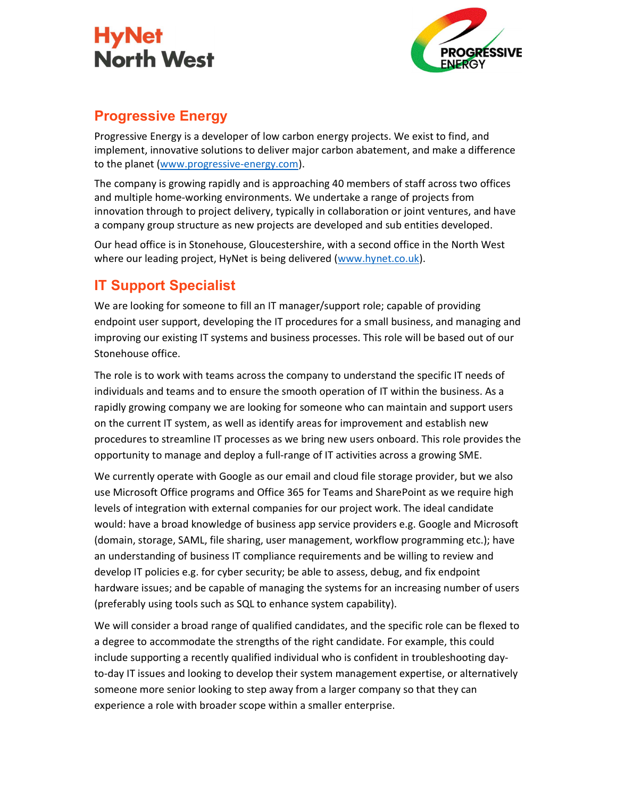



### Progressive Energy

Progressive Energy is a developer of low carbon energy projects. We exist to find, and implement, innovative solutions to deliver major carbon abatement, and make a difference to the planet (www.progressive-energy.com).

The company is growing rapidly and is approaching 40 members of staff across two offices and multiple home-working environments. We undertake a range of projects from innovation through to project delivery, typically in collaboration or joint ventures, and have a company group structure as new projects are developed and sub entities developed.

Our head office is in Stonehouse, Gloucestershire, with a second office in the North West where our leading project, HyNet is being delivered (www.hynet.co.uk).

## IT Support Specialist

We are looking for someone to fill an IT manager/support role; capable of providing endpoint user support, developing the IT procedures for a small business, and managing and improving our existing IT systems and business processes. This role will be based out of our Stonehouse office.

The role is to work with teams across the company to understand the specific IT needs of individuals and teams and to ensure the smooth operation of IT within the business. As a rapidly growing company we are looking for someone who can maintain and support users on the current IT system, as well as identify areas for improvement and establish new procedures to streamline IT processes as we bring new users onboard. This role provides the opportunity to manage and deploy a full-range of IT activities across a growing SME.

We currently operate with Google as our email and cloud file storage provider, but we also use Microsoft Office programs and Office 365 for Teams and SharePoint as we require high levels of integration with external companies for our project work. The ideal candidate would: have a broad knowledge of business app service providers e.g. Google and Microsoft (domain, storage, SAML, file sharing, user management, workflow programming etc.); have an understanding of business IT compliance requirements and be willing to review and develop IT policies e.g. for cyber security; be able to assess, debug, and fix endpoint hardware issues; and be capable of managing the systems for an increasing number of users (preferably using tools such as SQL to enhance system capability).

We will consider a broad range of qualified candidates, and the specific role can be flexed to a degree to accommodate the strengths of the right candidate. For example, this could include supporting a recently qualified individual who is confident in troubleshooting dayto-day IT issues and looking to develop their system management expertise, or alternatively someone more senior looking to step away from a larger company so that they can experience a role with broader scope within a smaller enterprise.